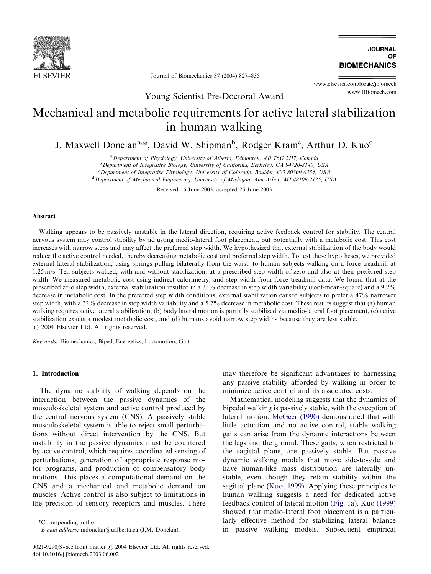

**JOURNAL** OF **BIOMECHANICS** 

Journal of Biomechanics 37 (2004) 827–835

www.elsevier.com/locate/jbiomech www.JBiomech.com

Young Scientist Pre-Doctoral Award

# Mechanical and metabolic requirements for active lateral stabilization in human walking

J. Maxwell Donelan<sup>a,\*</sup>, David W. Shipman<sup>b</sup>, Rodger Kram<sup>c</sup>, Arthur D. Kuo<sup>d</sup>

<sup>a</sup> Department of Physiology, University of Alberta, Edmonton, AB T6G 2H7, Canada

<sup>b</sup> Department of Integrative Biology, University of California, Berkeley, CA 94720-3140, USA

<sup>c</sup> Department of Integrative Physiology, University of Colorado, Boulder, CO 80309-0354, USA

<sup>d</sup> Department of Mechanical Engineering, University of Michigan, Ann Arbor, MI 48109-2125, USA

Received 16 June 2003; accepted 23 June 2003

# Abstract

Walking appears to be passively unstable in the lateral direction, requiring active feedback control for stability. The central nervous system may control stability by adjusting medio-lateral foot placement, but potentially with a metabolic cost. This cost increases with narrow steps and may affect the preferred step width. We hypothesized that external stabilization of the body would reduce the active control needed, thereby decreasing metabolic cost and preferred step width. To test these hypotheses, we provided external lateral stabilization, using springs pulling bilaterally from the waist, to human subjects walking on a force treadmill at 1.25 m/s. Ten subjects walked, with and without stabilization, at a prescribed step width of zero and also at their preferred step width. We measured metabolic cost using indirect calorimetry, and step width from force treadmill data. We found that at the prescribed zero step width, external stabilization resulted in a 33% decrease in step width variability (root-mean-square) and a 9.2% decrease in metabolic cost. In the preferred step width conditions, external stabilization caused subjects to prefer a 47% narrower step width, with a 32% decrease in step width variability and a 5.7% decrease in metabolic cost. These results suggest that (a) human walking requires active lateral stabilization, (b) body lateral motion is partially stabilized via medio-lateral foot placement, (c) active stabilization exacts a modest metabolic cost, and (d) humans avoid narrow step widths because they are less stable.  $\odot$  2004 Elsevier Ltd. All rights reserved.

Keywords: Biomechanics; Biped; Energetics; Locomotion; Gait

### 1. Introduction

The dynamic stability of walking depends on the interaction between the passive dynamics of the musculoskeletal system and active control produced by the central nervous system (CNS). A passively stable musculoskeletal system is able to reject small perturbations without direct intervention by the CNS. But instability in the passive dynamics must be countered by active control, which requires coordinated sensing of perturbations, generation of appropriate response motor programs, and production of compensatory body motions. This places a computational demand on the CNS and a mechanical and metabolic demand on muscles. Active control is also subject to limitations in the precision of sensory receptors and muscles. There may therefore be significant advantages to harnessing any passive stability afforded by walking in order to minimize active control and its associated costs.

Mathematical modeling suggests that the dynamics of bipedal walking is passively stable, with the exception of lateral motion. [McGeer \(1990\)](#page-8-0) demonstrated that with little actuation and no active control, stable walking gaits can arise from the dynamic interactions between the legs and the ground. These gaits, when restricted to the sagittal plane, are passively stable. But passive dynamic walking models that move side-to-side and have human-like mass distribution are laterally unstable, even though they retain stability within the sagittal plane ([Kuo, 1999\)](#page-8-0). Applying these principles to human walking suggests a need for dedicated active feedback control of lateral motion ([Fig. 1a\)](#page-1-0). [Kuo \(1999\)](#page-8-0) showed that medio-lateral foot placement is a particularly effective method for stabilizing lateral balance in passive walking models. Subsequent empirical

<sup>\*</sup>Corresponding author.

E-mail address: mdonelan@ualberta.ca (J.M. Donelan).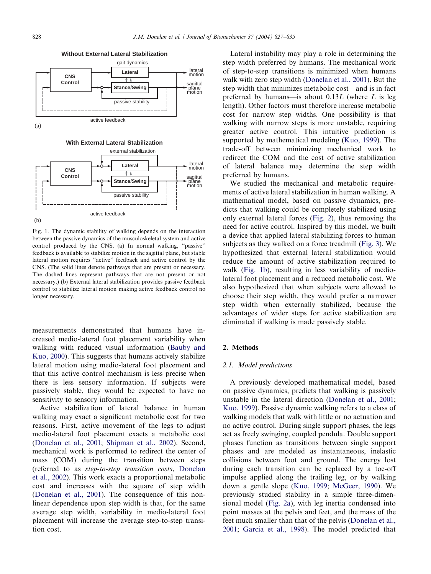<span id="page-1-0"></span>

**Without External Lateral Stabilization**





(b)

Fig. 1. The dynamic stability of walking depends on the interaction between the passive dynamics of the musculoskeletal system and active control produced by the CNS. (a) In normal walking, ''passive'' feedback is available to stabilize motion in the sagittal plane, but stable lateral motion requires ''active'' feedback and active control by the CNS. (The solid lines denote pathways that are present or necessary. The dashed lines represent pathways that are not present or not necessary.) (b) External lateral stabilization provides passive feedback control to stabilize lateral motion making active feedback control no longer necessary.

measurements demonstrated that humans have increased medio-lateral foot placement variability when walking with reduced visual information [\(Bauby and](#page-7-0) [Kuo, 2000\)](#page-7-0). This suggests that humans actively stabilize lateral motion using medio-lateral foot placement and that this active control mechanism is less precise when there is less sensory information. If subjects were passively stable, they would be expected to have no sensitivity to sensory information.

Active stabilization of lateral balance in human walking may exact a significant metabolic cost for two reasons. First, active movement of the legs to adjust medio-lateral foot placement exacts a metabolic cost [\(Donelan et al., 2001;](#page-7-0) [Shipman et al., 2002\)](#page-8-0). Second, mechanical work is performed to redirect the center of mass (COM) during the transition between steps (referred to as step-to-step transition costs, [Donelan](#page-7-0) [et al., 2002\)](#page-7-0). This work exacts a proportional metabolic cost and increases with the square of step width [\(Donelan et al., 2001](#page-7-0)). The consequence of this nonlinear dependence upon step width is that, for the same average step width, variability in medio-lateral foot placement will increase the average step-to-step transition cost.

Lateral instability may play a role in determining the step width preferred by humans. The mechanical work of step-to-step transitions is minimized when humans walk with zero step width [\(Donelan et al., 2001](#page-7-0)). But the step width that minimizes metabolic cost—and is in fact preferred by humans—is about  $0.13L$  (where L is leg length). Other factors must therefore increase metabolic cost for narrow step widths. One possibility is that walking with narrow steps is more unstable, requiring greater active control. This intuitive prediction is supported by mathematical modeling ([Kuo, 1999\)](#page-8-0). The trade-off between minimizing mechanical work to redirect the COM and the cost of active stabilization of lateral balance may determine the step width preferred by humans.

We studied the mechanical and metabolic requirements of active lateral stabilization in human walking. A mathematical model, based on passive dynamics, predicts that walking could be completely stabilized using only external lateral forces ([Fig. 2\)](#page-2-0), thus removing the need for active control. Inspired by this model, we built a device that applied lateral stabilizing forces to human subjects as they walked on a force treadmill [\(Fig. 3](#page-2-0)). We hypothesized that external lateral stabilization would reduce the amount of active stabilization required to walk (Fig. 1b), resulting in less variability of mediolateral foot placement and a reduced metabolic cost. We also hypothesized that when subjects were allowed to choose their step width, they would prefer a narrower step width when externally stabilized, because the advantages of wider steps for active stabilization are eliminated if walking is made passively stable.

#### 2. Methods

#### 2.1. Model predictions

A previously developed mathematical model, based on passive dynamics, predicts that walking is passively unstable in the lateral direction [\(Donelan et al., 2001](#page-7-0); [Kuo, 1999](#page-8-0)). Passive dynamic walking refers to a class of walking models that walk with little or no actuation and no active control. During single support phases, the legs act as freely swinging, coupled pendula. Double support phases function as transitions between single support phases and are modeled as instantaneous, inelastic collisions between foot and ground. The energy lost during each transition can be replaced by a toe-off impulse applied along the trailing leg, or by walking down a gentle slope ([Kuo, 1999](#page-8-0); [McGeer, 1990](#page-8-0)). We previously studied stability in a simple three-dimensional model ([Fig. 2a\)](#page-2-0), with leg inertia condensed into point masses at the pelvis and feet, and the mass of the feet much smaller than that of the pelvis [\(Donelan et al.,](#page-7-0) [2001;](#page-7-0) [Garcia et al., 1998\)](#page-7-0). The model predicted that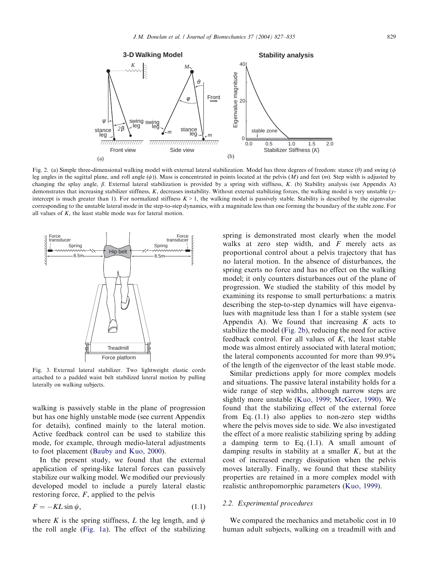<span id="page-2-0"></span>

Fig. 2. (a) Simple three-dimensional walking model with external lateral stabilization. Model has three degrees of freedom: stance ( $\theta$ ) and swing ( $\phi$ ) leg angles in the sagittal plane, and roll angle  $(\psi)$ ). Mass is concentrated in points located at the pelvis  $(M)$  and feet  $(m)$ . Step width is adjusted by changing the splay angle,  $\beta$ . External lateral stabilization is provided by a spring with stiffness, K. (b) Stability analysis (see Appendix A) demonstrates that increasing stabilizer stiffness, K, decreases instability. Without external stabilizing forces, the walking model is very unstable (yintercept is much greater than 1). For normalized stiffness  $K > 1$ , the walking model is passively stable. Stability is described by the eigenvalue corresponding to the unstable lateral mode in the step-to-step dynamics, with a magnitude less than one forming the boundary of the stable zone. For all values of  $K$ , the least stable mode was for lateral motion.



Fig. 3. External lateral stabilizer. Two lightweight elastic cords attached to a padded waist belt stabilized lateral motion by pulling laterally on walking subjects.

walking is passively stable in the plane of progression but has one highly unstable mode (see current Appendix for details), confined mainly to the lateral motion. Active feedback control can be used to stabilize this mode, for example, through medio-lateral adjustments to foot placement ([Bauby and Kuo, 2000\)](#page-7-0).

In the present study, we found that the external application of spring-like lateral forces can passively stabilize our walking model. We modified our previously developed model to include a purely lateral elastic restoring force,  $F$ , applied to the pelvis

$$
F = -KL \sin \psi,\tag{1.1}
$$

where K is the spring stiffness, L the leg length, and  $\psi$ the roll angle [\(Fig. 1a\)](#page-1-0). The effect of the stabilizing

spring is demonstrated most clearly when the model walks at zero step width, and  $F$  merely acts as proportional control about a pelvis trajectory that has no lateral motion. In the absence of disturbances, the spring exerts no force and has no effect on the walking model; it only counters disturbances out of the plane of progression. We studied the stability of this model by examining its response to small perturbations: a matrix describing the step-to-step dynamics will have eigenvalues with magnitude less than 1 for a stable system (see Appendix A). We found that increasing  $K$  acts to stabilize the model (Fig. 2b), reducing the need for active feedback control. For all values of  $K$ , the least stable mode was almost entirely associated with lateral motion; the lateral components accounted for more than 99.9% of the length of the eigenvector of the least stable mode.

Similar predictions apply for more complex models and situations. The passive lateral instability holds for a wide range of step widths, although narrow steps are slightly more unstable [\(Kuo, 1999;](#page-8-0) [McGeer, 1990](#page-8-0)). We found that the stabilizing effect of the external force from Eq. (1.1) also applies to non-zero step widths where the pelvis moves side to side. We also investigated the effect of a more realistic stabilizing spring by adding a damping term to Eq. (1.1). A small amount of damping results in stability at a smaller  $K$ , but at the cost of increased energy dissipation when the pelvis moves laterally. Finally, we found that these stability properties are retained in a more complex model with realistic anthropomorphic parameters ([Kuo, 1999\)](#page-8-0).

## 2.2. Experimental procedures

We compared the mechanics and metabolic cost in 10 human adult subjects, walking on a treadmill with and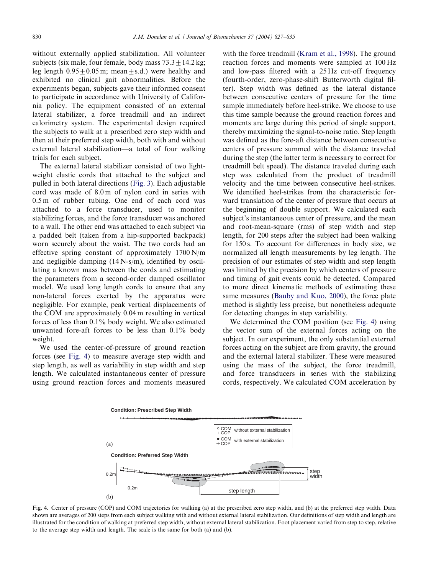without externally applied stabilization. All volunteer subjects (six male, four female, body mass  $73.3 + 14.2$  kg; leg length  $0.95 \pm 0.05$  m; mean $\pm$ s.d.) were healthy and exhibited no clinical gait abnormalities. Before the experiments began, subjects gave their informed consent to participate in accordance with University of California policy. The equipment consisted of an external lateral stabilizer, a force treadmill and an indirect calorimetry system. The experimental design required the subjects to walk at a prescribed zero step width and then at their preferred step width, both with and without external lateral stabilization—a total of four walking trials for each subject.

The external lateral stabilizer consisted of two lightweight elastic cords that attached to the subject and pulled in both lateral directions [\(Fig. 3](#page-2-0)). Each adjustable cord was made of 8.0 m of nylon cord in series with 0.5 m of rubber tubing. One end of each cord was attached to a force transducer, used to monitor stabilizing forces, and the force transducer was anchored to a wall. The other end was attached to each subject via a padded belt (taken from a hip-supported backpack) worn securely about the waist. The two cords had an effective spring constant of approximately 1700 N/m and negligible damping  $(14 \text{ N}-s/m)$ , identified by oscillating a known mass between the cords and estimating the parameters from a second-order damped oscillator model. We used long length cords to ensure that any non-lateral forces exerted by the apparatus were negligible. For example, peak vertical displacements of the COM are approximately 0.04 m resulting in vertical forces of less than 0.1% body weight. We also estimated unwanted fore-aft forces to be less than 0.1% body weight.

We used the center-of-pressure of ground reaction forces (see Fig. 4) to measure average step width and step length, as well as variability in step width and step length. We calculated instantaneous center of pressure using ground reaction forces and moments measured with the force treadmill ([Kram et al., 1998](#page-7-0)). The ground reaction forces and moments were sampled at 100 Hz and low-pass filtered with a 25 Hz cut-off frequency (fourth-order, zero-phase-shift Butterworth digital filter). Step width was defined as the lateral distance between consecutive centers of pressure for the time sample immediately before heel-strike. We choose to use this time sample because the ground reaction forces and moments are large during this period of single support, thereby maximizing the signal-to-noise ratio. Step length was defined as the fore-aft distance between consecutive centers of pressure summed with the distance traveled during the step (the latter term is necessary to correct for treadmill belt speed). The distance traveled during each step was calculated from the product of treadmill velocity and the time between consecutive heel-strikes. We identified heel-strikes from the characteristic forward translation of the center of pressure that occurs at the beginning of double support. We calculated each subject's instantaneous center of pressure, and the mean and root-mean-square (rms) of step width and step length, for 200 steps after the subject had been walking for 150 s. To account for differences in body size, we normalized all length measurements by leg length. The precision of our estimates of step width and step length was limited by the precision by which centers of pressure and timing of gait events could be detected. Compared to more direct kinematic methods of estimating these same measures ([Bauby and Kuo, 2000\)](#page-7-0), the force plate method is slightly less precise, but nonetheless adequate for detecting changes in step variability.

We determined the COM position (see Fig. 4) using the vector sum of the external forces acting on the subject. In our experiment, the only substantial external forces acting on the subject are from gravity, the ground and the external lateral stabilizer. These were measured using the mass of the subject, the force treadmill, and force transducers in series with the stabilizing cords, respectively. We calculated COM acceleration by



Fig. 4. Center of pressure (COP) and COM trajectories for walking (a) at the prescribed zero step width, and (b) at the preferred step width. Data shown are averages of 200 steps from each subject walking with and without external lateral stabilization. Our definitions of step width and length are illustrated for the condition of walking at preferred step width, without external lateral stabilization. Foot placement varied from step to step, relative to the average step width and length. The scale is the same for both (a) and (b).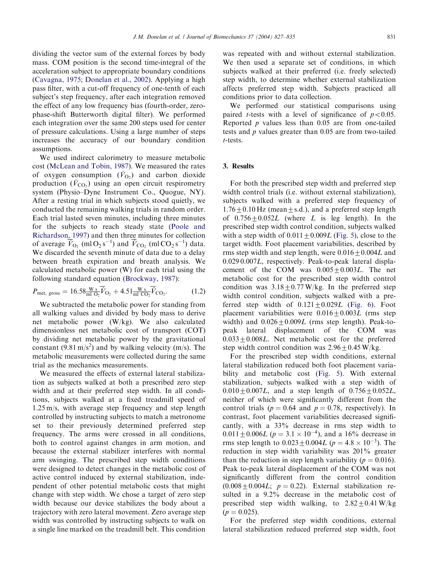dividing the vector sum of the external forces by body mass. COM position is the second time-integral of the acceleration subject to appropriate boundary conditions [\(Cavagna, 1975;](#page-7-0) [Donelan et al., 2002\)](#page-7-0). Applying a high pass filter, with a cut-off frequency of one-tenth of each subject's step frequency, after each integration removed the effect of any low frequency bias (fourth-order, zerophase-shift Butterworth digital filter). We performed each integration over the same 200 steps used for center of pressure calculations. Using a large number of steps increases the accuracy of our boundary condition assumptions.

We used indirect calorimetry to measure metabolic cost [\(McLean and Tobin, 1987\)](#page-8-0). We measured the rates of oxygen consumption  $(\dot{V}_{\text{O}_2})$  and carbon dioxide production  $(\dot{V}_{\text{CO}_2})$  using an open circuit respirometry system (Physio–Dyne Instrument Co., Quogue, NY). After a resting trial in which subjects stood quietly, we conducted the remaining walking trials in random order. Each trial lasted seven minutes, including three minutes for the subjects to reach steady state ([Poole and](#page-8-0) [Richardson, 1997\)](#page-8-0) and then three minutes for collection of average  $\overline{V}_{O_2}$  (ml O<sub>2</sub>s<sup>-1</sup>) and  $\overline{V}_{CO_2}$  (ml CO<sub>2</sub>s<sup>-1</sup>) data. We discarded the seventh minute of data due to a delay between breath expiration and breath analysis. We calculated metabolic power (W) for each trial using the following standard equation [\(Brockway, 1987](#page-7-0)):

$$
P_{\text{met, gross}} = 16.58 \frac{\text{W s}}{\text{ml O}_2} \overline{V}_{\text{O}_2} + 4.51 \frac{\text{W s}}{\text{ml CO}_2} \overline{V}_{\text{CO}_2}.
$$
 (1.2)

We subtracted the metabolic power for standing from all walking values and divided by body mass to derive net metabolic power (W/kg). We also calculated dimensionless net metabolic cost of transport (COT) by dividing net metabolic power by the gravitational constant  $(9.81 \text{ m/s}^2)$  and by walking velocity (m/s). The metabolic measurements were collected during the same trial as the mechanics measurements.

We measured the effects of external lateral stabilization as subjects walked at both a prescribed zero step width and at their preferred step width. In all conditions, subjects walked at a fixed treadmill speed of 1.25 m/s, with average step frequency and step length controlled by instructing subjects to match a metronome set to their previously determined preferred step frequency. The arms were crossed in all conditions, both to control against changes in arm motion, and because the external stabilizer interferes with normal arm swinging. The prescribed step width conditions were designed to detect changes in the metabolic cost of active control induced by external stabilization, independent of other potential metabolic costs that might change with step width. We chose a target of zero step width because our device stabilizes the body about a trajectory with zero lateral movement. Zero average step width was controlled by instructing subjects to walk on a single line marked on the treadmill belt. This condition

was repeated with and without external stabilization. We then used a separate set of conditions, in which subjects walked at their preferred (i.e. freely selected) step width, to determine whether external stabilization affects preferred step width. Subjects practiced all conditions prior to data collection.

We performed our statistical comparisons using paired *t*-tests with a level of significance of  $p < 0.05$ . Reported  $p$  values less than 0.05 are from one-tailed tests and  $p$  values greater than 0.05 are from two-tailed t-tests.

# 3. Results

For both the prescribed step width and preferred step width control trials (i.e. without external stabilization), subjects walked with a preferred step frequency of  $1.76+0.10$  Hz (mean + s.d.), and a preferred step length of  $0.756 \pm 0.052L$  (where L is leg length). In the prescribed step width control condition, subjects walked with a step width of  $0.011 \pm 0.009L$  [\(Fig. 5](#page-5-0)), close to the target width. Foot placement variabilities, described by rms step width and step length, were  $0.016 \pm 0.004L$  and 0.029 0.007L, respectively. Peak-to-peak lateral displacement of the COM was  $0.005 \pm 0.003L$ . The net metabolic cost for the prescribed step width control condition was  $3.18 \pm 0.77$  W/kg. In the preferred step width control condition, subjects walked with a preferred step width of  $0.121 \pm 0.029L$  ([Fig. 6\)](#page-5-0). Foot placement variabilities were  $0.016 \pm 0.003L$  (rms step width) and  $0.026\pm0.009L$  (rms step length). Peak-topeak lateral displacement of the COM was  $0.033 \pm 0.008L$ . Net metabolic cost for the preferred step width control condition was  $2.96 + 0.45$  W/kg.

For the prescribed step width conditions, external lateral stabilization reduced both foot placement varia-bility and metabolic cost ([Fig. 5\)](#page-5-0). With external stabilization, subjects walked with a step width of  $0.010 \pm 0.007L$ , and a step length of  $0.756 \pm 0.052L$ , neither of which were significantly different from the control trials ( $p = 0.64$  and  $p = 0.78$ , respectively). In contrast, foot placement variabilities decreased significantly, with a 33% decrease in rms step width to  $0.011 \pm 0.006L$  ( $p = 3.1 \times 10^{-4}$ ), and a 16% decrease in rms step length to  $0.023 \pm 0.004L$  ( $p = 4.8 \times 10^{-3}$ ). The reduction in step width variability was 201% greater than the reduction in step length variability ( $p = 0.016$ ). Peak to-peak lateral displacement of the COM was not significantly different from the control condition  $(0.008 \pm 0.004L; p = 0.22)$ . External stabilization resulted in a 9.2% decrease in the metabolic cost of prescribed step width walking, to  $2.82 \pm 0.41$  W/kg  $(p = 0.025)$ .

For the preferred step width conditions, external lateral stabilization reduced preferred step width, foot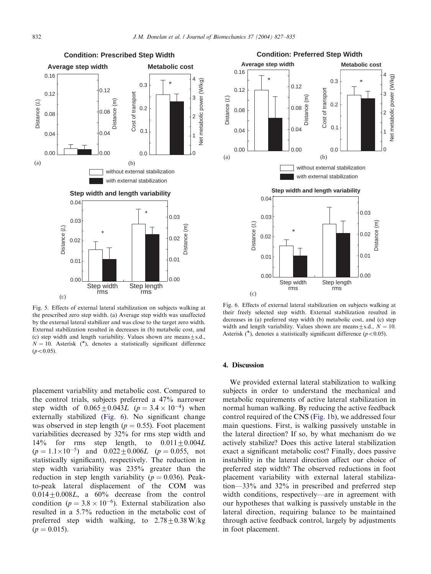<span id="page-5-0"></span>

Fig. 5. Effects of external lateral stabilization on subjects walking at the prescribed zero step width. (a) Average step width was unaffected by the external lateral stabilizer and was close to the target zero width. External stabilization resulted in decreases in (b) metabolic cost, and (c) step width and length variability. Values shown are means $\pm$  s.d.,  $N = 10$ . Asterisk (\*), denotes a statistically significant difference  $(p<0.05)$ .

placement variability and metabolic cost. Compared to the control trials, subjects preferred a 47% narrower step width of  $0.065 \pm 0.043L$  ( $p = 3.4 \times 10^{-4}$ ) when externally stabilized (Fig. 6). No significant change was observed in step length ( $p = 0.55$ ). Foot placement variabilities decreased by 32% for rms step width and 14% for rms step length, to  $0.011 \pm 0.004L$  $(p = 1.1 \times 10^{-5})$  and  $0.022 \pm 0.006L$   $(p = 0.055, \text{not})$ statistically significant), respectively. The reduction in step width variability was 235% greater than the reduction in step length variability ( $p = 0.036$ ). Peakto-peak lateral displacement of the COM was  $0.014 \pm 0.008L$ , a 60% decrease from the control condition ( $p = 3.8 \times 10^{-6}$ ). External stabilization also resulted in a 5.7% reduction in the metabolic cost of preferred step width walking, to  $2.78 \pm 0.38$  W/kg  $(p = 0.015)$ .



Fig. 6. Effects of external lateral stabilization on subjects walking at their freely selected step width. External stabilization resulted in decreases in (a) preferred step width (b) metabolic cost, and (c) step width and length variability. Values shown are means $\pm$ s.d.,  $N = 10$ . Asterisk (\*), denotes a statistically significant difference ( $p < 0.05$ ).

# 4. Discussion

We provided external lateral stabilization to walking subjects in order to understand the mechanical and metabolic requirements of active lateral stabilization in normal human walking. By reducing the active feedback control required of the CNS [\(Fig. 1b](#page-1-0)), we addressed four main questions. First, is walking passively unstable in the lateral direction? If so, by what mechanism do we actively stabilize? Does this active lateral stabilization exact a significant metabolic cost? Finally, does passive instability in the lateral direction affect our choice of preferred step width? The observed reductions in foot placement variability with external lateral stabilization—33% and 32% in prescribed and preferred step width conditions, respectively—are in agreement with our hypotheses that walking is passively unstable in the lateral direction, requiring balance to be maintained through active feedback control, largely by adjustments in foot placement.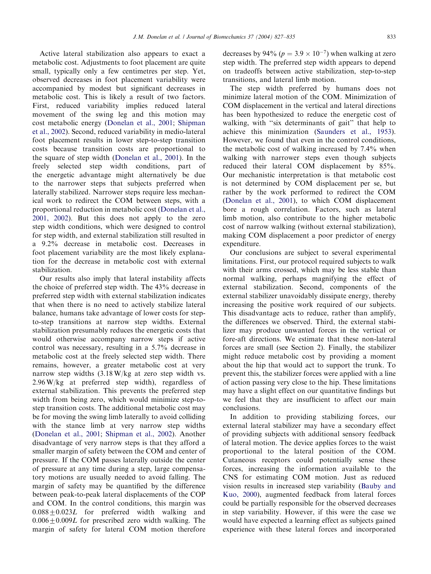Active lateral stabilization also appears to exact a metabolic cost. Adjustments to foot placement are quite small, typically only a few centimetres per step. Yet, observed decreases in foot placement variability were accompanied by modest but significant decreases in metabolic cost. This is likely a result of two factors. First, reduced variability implies reduced lateral movement of the swing leg and this motion may cost metabolic energy [\(Donelan et al., 2001;](#page-7-0) [Shipman](#page-8-0) [et al., 2002](#page-8-0)). Second, reduced variability in medio-lateral foot placement results in lower step-to-step transition costs because transition costs are proportional to the square of step width ([Donelan et al., 2001\)](#page-7-0). In the freely selected step width conditions, part of the energetic advantage might alternatively be due to the narrower steps that subjects preferred when laterally stabilized. Narrower steps require less mechanical work to redirect the COM between steps, with a proportional reduction in metabolic cost ([Donelan et al.,](#page-7-0) [2001, 2002](#page-7-0)). But this does not apply to the zero step width conditions, which were designed to control for step width, and external stabilization still resulted in a 9.2% decrease in metabolic cost. Decreases in foot placement variability are the most likely explanation for the decrease in metabolic cost with external stabilization.

Our results also imply that lateral instability affects the choice of preferred step width. The 43% decrease in preferred step width with external stabilization indicates that when there is no need to actively stabilize lateral balance, humans take advantage of lower costs for stepto-step transitions at narrow step widths. External stabilization presumably reduces the energetic costs that would otherwise accompany narrow steps if active control was necessary, resulting in a 5.7% decrease in metabolic cost at the freely selected step width. There remains, however, a greater metabolic cost at very narrow step widths (3.18 W/kg at zero step width vs. 2.96 W/kg at preferred step width), regardless of external stabilization. This prevents the preferred step width from being zero, which would minimize step-tostep transition costs. The additional metabolic cost may be for moving the swing limb laterally to avoid colliding with the stance limb at very narrow step widths [\(Donelan et al., 2001;](#page-7-0) [Shipman et al., 2002\)](#page-8-0). Another disadvantage of very narrow steps is that they afford a smaller margin of safety between the COM and center of pressure. If the COM passes laterally outside the center of pressure at any time during a step, large compensatory motions are usually needed to avoid falling. The margin of safety may be quantified by the difference between peak-to-peak lateral displacements of the COP and COM. In the control conditions, this margin was  $0.088 \pm 0.023L$  for preferred width walking and  $0.006 \pm 0.009L$  for prescribed zero width walking. The margin of safety for lateral COM motion therefore

decreases by 94% ( $p = 3.9 \times 10^{-7}$ ) when walking at zero step width. The preferred step width appears to depend on tradeoffs between active stabilization, step-to-step transitions, and lateral limb motion.

The step width preferred by humans does not minimize lateral motion of the COM. Minimization of COM displacement in the vertical and lateral directions has been hypothesized to reduce the energetic cost of walking, with ''six determinants of gait'' that help to achieve this minimization ([Saunders et al., 1953\)](#page-8-0). However, we found that even in the control conditions, the metabolic cost of walking increased by 7.4% when walking with narrower steps even though subjects reduced their lateral COM displacement by 85%. Our mechanistic interpretation is that metabolic cost is not determined by COM displacement per se, but rather by the work performed to redirect the COM [\(Donelan et al., 2001\)](#page-7-0), to which COM displacement bore a rough correlation. Factors, such as lateral limb motion, also contribute to the higher metabolic cost of narrow walking (without external stabilization), making COM displacement a poor predictor of energy expenditure.

Our conclusions are subject to several experimental limitations. First, our protocol required subjects to walk with their arms crossed, which may be less stable than normal walking, perhaps magnifying the effect of external stabilization. Second, components of the external stabilizer unavoidably dissipate energy, thereby increasing the positive work required of our subjects. This disadvantage acts to reduce, rather than amplify, the differences we observed. Third, the external stabilizer may produce unwanted forces in the vertical or fore-aft directions. We estimate that these non-lateral forces are small (see Section 2). Finally, the stabilizer might reduce metabolic cost by providing a moment about the hip that would act to support the trunk. To prevent this, the stabilizer forces were applied with a line of action passing very close to the hip. These limitations may have a slight effect on our quantitative findings but we feel that they are insufficient to affect our main conclusions.

In addition to providing stabilizing forces, our external lateral stabilizer may have a secondary effect of providing subjects with additional sensory feedback of lateral motion. The device applies forces to the waist proportional to the lateral position of the COM. Cutaneous receptors could potentially sense these forces, increasing the information available to the CNS for estimating COM motion. Just as reduced vision results in increased step variability ([Bauby and](#page-7-0) [Kuo, 2000](#page-7-0)), augmented feedback from lateral forces could be partially responsible for the observed decreases in step variability. However, if this were the case we would have expected a learning effect as subjects gained experience with these lateral forces and incorporated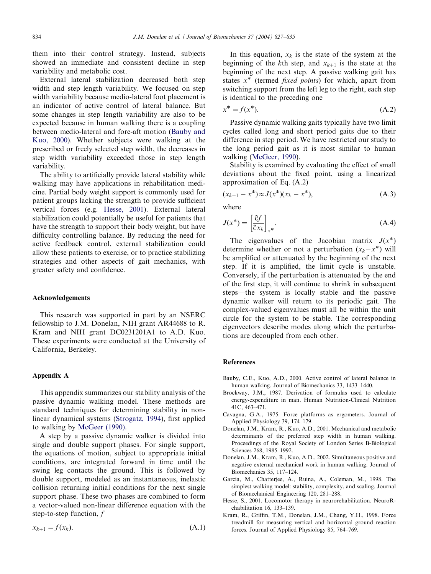<span id="page-7-0"></span>them into their control strategy. Instead, subjects showed an immediate and consistent decline in step variability and metabolic cost.

External lateral stabilization decreased both step width and step length variability. We focused on step width variability because medio-lateral foot placement is an indicator of active control of lateral balance. But some changes in step length variability are also to be expected because in human walking there is a coupling between medio-lateral and fore-aft motion (Bauby and Kuo, 2000). Whether subjects were walking at the prescribed or freely selected step width, the decreases in step width variability exceeded those in step length variability.

The ability to artificially provide lateral stability while walking may have applications in rehabilitation medicine. Partial body weight support is commonly used for patient groups lacking the strength to provide sufficient vertical forces (e.g. Hesse, 2001). External lateral stabilization could potentially be useful for patients that have the strength to support their body weight, but have difficulty controlling balance. By reducing the need for active feedback control, external stabilization could allow these patients to exercise, or to practice stabilizing strategies and other aspects of gait mechanics, with greater safety and confidence.

#### Acknowledgements

This research was supported in part by an NSERC fellowship to J.M. Donelan, NIH grant AR44688 to R. Kram and NIH grant DC0231201A1 to A.D. Kuo. These experiments were conducted at the University of California, Berkeley.

#### Appendix A

This appendix summarizes our stability analysis of the passive dynamic walking model. These methods are standard techniques for determining stability in nonlinear dynamical systems [\(Strogatz, 1994](#page-8-0)), first applied to walking by [McGeer \(1990\).](#page-8-0)

A step by a passive dynamic walker is divided into single and double support phases. For single support, the equations of motion, subject to appropriate initial conditions, are integrated forward in time until the swing leg contacts the ground. This is followed by double support, modeled as an instantaneous, inelastic collision returning initial conditions for the next single support phase. These two phases are combined to form a vector-valued non-linear difference equation with the step-to-step function, f

$$
x_{k+1} = f(x_k). \tag{A.1}
$$

In this equation,  $x_k$  is the state of the system at the beginning of the kth step, and  $x_{k+1}$  is the state at the beginning of the next step. A passive walking gait has states  $x^*$  (termed *fixed points*) for which, apart from switching support from the left leg to the right, each step is identical to the preceding one

$$
x^* = f(x^*). \tag{A.2}
$$

Passive dynamic walking gaits typically have two limit cycles called long and short period gaits due to their difference in step period. We have restricted our study to the long period gait as it is most similar to human walking [\(McGeer, 1990](#page-8-0)).

Stability is examined by evaluating the effect of small deviations about the fixed point, using a linearized approximation of Eq. (A.2)

$$
(x_{k+1} - x^*) \approx J(x^*)(x_k - x^*), \tag{A.3}
$$

where

$$
J(x^*) = \left[\frac{\partial f}{\partial x_k}\right]_{x^*}.
$$
 (A.4)

The eigenvalues of the Jacobian matrix  $J(x^*)$ determine whether or not a perturbation  $(x_k-x^*)$  will be amplified or attenuated by the beginning of the next step. If it is amplified, the limit cycle is unstable. Conversely, if the perturbation is attenuated by the end of the first step, it will continue to shrink in subsequent steps—the system is locally stable and the passive dynamic walker will return to its periodic gait. The complex-valued eigenvalues must all be within the unit circle for the system to be stable. The corresponding eigenvectors describe modes along which the perturbations are decoupled from each other.

#### References

- Bauby, C.E., Kuo, A.D., 2000. Active control of lateral balance in human walking. Journal of Biomechanics 33, 1433–1440.
- Brockway, J.M., 1987. Derivation of formulas used to calculate energy-expenditure in man. Human Nutrition-Clinical Nutrition 41C, 463–471.
- Cavagna, G.A., 1975. Force platforms as ergometers. Journal of Applied Physiology 39, 174–179.
- Donelan, J.M., Kram, R., Kuo, A.D., 2001. Mechanical and metabolic determinants of the preferred step width in human walking. Proceedings of the Royal Society of London Series B-Biological Sciences 268, 1985–1992.
- Donelan, J.M., Kram, R., Kuo, A.D., 2002. Simultaneous positive and negative external mechanical work in human walking. Journal of Biomechanics 35, 117–124.
- Garcia, M., Chatterjee, A., Ruina, A., Coleman, M., 1998. The simplest walking model: stability, complexity, and scaling. Journal of Biomechanical Engineering 120, 281–288.
- Hesse, S., 2001. Locomotor therapy in neurorehabilitation. NeuroRehabilitation 16, 133–139.
- Kram, R., Griffin, T.M., Donelan, J.M., Chang, Y.H., 1998. Force treadmill for measuring vertical and horizontal ground reaction forces. Journal of Applied Physiology 85, 764–769.